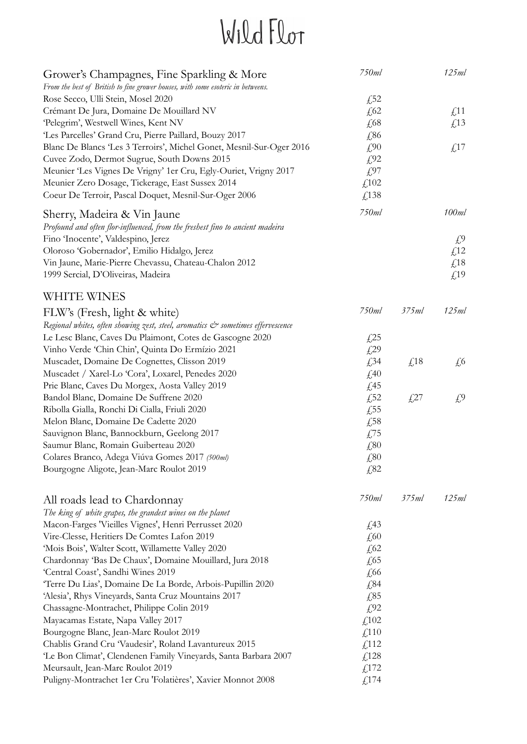| Grower's Champagnes, Fine Sparkling & More                                      | 750ml               |                          | 125ml                    |
|---------------------------------------------------------------------------------|---------------------|--------------------------|--------------------------|
| From the best of British to fine grower houses, with some esoteric in betweens. |                     |                          |                          |
| Rose Secco, Ulli Stein, Mosel 2020                                              | £52                 |                          |                          |
| Crémant De Jura, Domaine De Mouillard NV                                        | £62                 |                          | $\text{\textsterling}11$ |
| 'Pelegrim', Westwell Wines, Kent NV                                             | $\sqrt{68}$         |                          | $\textsterling$ 13       |
| 'Les Parcelles' Grand Cru, Pierre Paillard, Bouzy 2017                          | £86                 |                          |                          |
| Blanc De Blancs 'Les 3 Terroirs', Michel Gonet, Mesnil-Sur-Oger 2016            | £90                 |                          | $\textsterling$ 17       |
| Cuvee Zodo, Dermot Sugrue, South Downs 2015                                     | £92                 |                          |                          |
| Meunier 'Les Vignes De Vrigny' 1er Cru, Egly-Ouriet, Vrigny 2017                | £97                 |                          |                          |
| Meunier Zero Dosage, Tickerage, East Sussex 2014                                | £102                |                          |                          |
| Coeur De Terroir, Pascal Doquet, Mesnil-Sur-Oger 2006                           | £138                |                          |                          |
| Sherry, Madeira & Vin Jaune                                                     | 750ml               |                          | 100ml                    |
| Profound and often flor-influenced, from the freshest fino to ancient madeira   |                     |                          |                          |
| Fino 'Inocente', Valdespino, Jerez                                              |                     |                          | £9                       |
| Oloroso 'Gobernador', Emilio Hidalgo, Jerez                                     |                     |                          | £12                      |
| Vin Jaune, Marie-Pierre Chevassu, Chateau-Chalon 2012                           |                     |                          | £18                      |
| 1999 Sercial, D'Oliveiras, Madeira                                              |                     |                          | £19                      |
| WHITE WINES                                                                     |                     |                          |                          |
| FLW's (Fresh, light & white)                                                    | 750ml               | 375ml                    | 125ml                    |
| Regional whites, often showing zest, steel, aromatics & sometimes effervescence |                     |                          |                          |
| Le Lesc Blanc, Caves Du Plaimont, Cotes de Gascogne 2020                        | $\sqrt{25}$         |                          |                          |
| Vinho Verde 'Chin Chin', Quinta Do Ermízio 2021                                 | $\sqrt{29}$         |                          |                          |
| Muscadet, Domaine De Cognettes, Clisson 2019                                    | £34                 | $\text{\textsterling}18$ | $\sqrt{6}$               |
| Muscadet / Xarel-Lo 'Cora', Loxarel, Penedes 2020                               | £40                 |                          |                          |
| Prie Blanc, Caves Du Morgex, Aosta Valley 2019                                  | $\textsterling}45$  |                          |                          |
| Bandol Blanc, Domaine De Suffrene 2020                                          | £52                 | £27                      | $f^0$                    |
| Ribolla Gialla, Ronchi Di Cialla, Friuli 2020                                   | £55                 |                          |                          |
| Melon Blanc, Domaine De Cadette 2020                                            | £58                 |                          |                          |
| Sauvignon Blanc, Bannockburn, Geelong 2017                                      | £75                 |                          |                          |
| Saumur Blanc, Romain Guiberteau 2020                                            | £80                 |                          |                          |
| Colares Branco, Adega Viúva Gomes 2017 (500ml)                                  |                     |                          |                          |
| Bourgogne Aligote, Jean-Marc Roulot 2019                                        | £80<br>£82          |                          |                          |
|                                                                                 |                     |                          |                          |
| All roads lead to Chardonnay                                                    | 750ml               | 375ml                    | 125ml                    |
| The king of white grapes, the grandest wines on the planet                      |                     |                          |                          |
| Macon-Farges 'Vieilles Vignes', Henri Perrusset 2020                            | $\textsterling}43$  |                          |                          |
| Vire-Clesse, Heritiers De Comtes Lafon 2019                                     | £60                 |                          |                          |
| 'Mois Bois', Walter Scott, Willamette Valley 2020                               | $\sqrt{62}$         |                          |                          |
| Chardonnay 'Bas De Chaux', Domaine Mouillard, Jura 2018                         | $\sqrt{65}$         |                          |                          |
| 'Central Coast', Sandhi Wines 2019                                              | £66                 |                          |                          |
| 'Terre Du Lias', Domaine De La Borde, Arbois-Pupillin 2020                      | £84                 |                          |                          |
| 'Alesia', Rhys Vineyards, Santa Cruz Mountains 2017                             | £85                 |                          |                          |
| Chassagne-Montrachet, Philippe Colin 2019                                       | £92                 |                          |                          |
| Mayacamas Estate, Napa Valley 2017                                              | £102                |                          |                          |
| Bourgogne Blanc, Jean-Marc Roulot 2019                                          | $\textsterling$ 110 |                          |                          |
| Chablis Grand Cru 'Vaudesir', Roland Lavantureux 2015                           | f112                |                          |                          |
| 'Le Bon Climat', Clendenen Family Vineyards, Santa Barbara 2007                 | $\textsterling}128$ |                          |                          |
| Meursault, Jean-Marc Roulot 2019                                                | £,172               |                          |                          |
| Puligny-Montrachet 1er Cru 'Folatières', Xavier Monnot 2008                     | f,174               |                          |                          |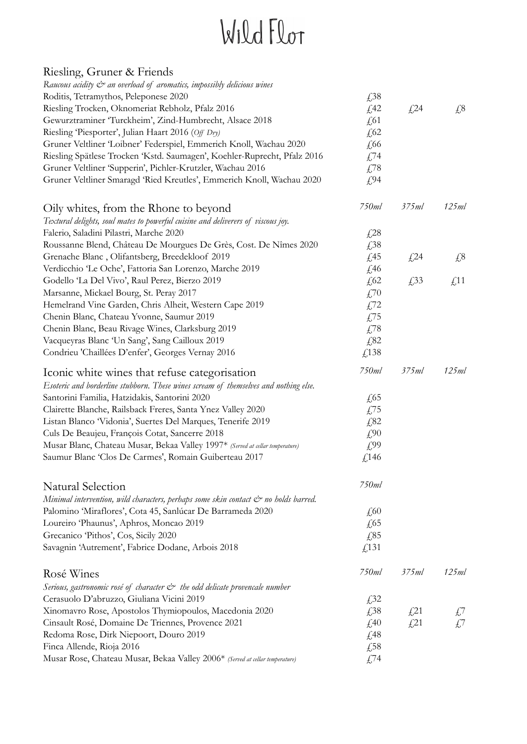| Riesling, Gruner & Friends                                                                |                          |             |                                 |
|-------------------------------------------------------------------------------------------|--------------------------|-------------|---------------------------------|
| Raucous acidity $\mathcal{Q}^s$ an overload of aromatics, impossibly delicious wines      |                          |             |                                 |
| Roditis, Tetramythos, Peleponese 2020                                                     | £38                      |             |                                 |
| Riesling Trocken, Oknomeriat Rebholz, Pfalz 2016                                          | £42                      | £24         | $\sqrt{28}$                     |
| Gewurztraminer 'Turckheim', Zind-Humbrecht, Alsace 2018                                   | $\sqrt{61}$              |             |                                 |
| Riesling 'Piesporter', Julian Haart 2016 (Off Dry)                                        | $\sqrt{62}$              |             |                                 |
| Gruner Veltliner 'Loibner' Federspiel, Emmerich Knoll, Wachau 2020                        | £66                      |             |                                 |
| Riesling Spätlese Trocken 'Kstd. Saumagen', Koehler-Ruprecht, Pfalz 2016                  | £74                      |             |                                 |
| Gruner Veltliner 'Supperin', Pichler-Krutzler, Wachau 2016                                | £78                      |             |                                 |
| Gruner Veltliner Smaragd 'Ried Kreutles', Emmerich Knoll, Wachau 2020                     | £94                      |             |                                 |
| Oily whites, from the Rhone to beyond                                                     | 750ml                    | 375ml       | 125ml                           |
| Textural delights, soul mates to powerful cuisine and deliverers of viscous joy.          |                          |             |                                 |
| Falerio, Saladini Pilastri, Marche 2020                                                   | $\sqrt{28}$              |             |                                 |
| Roussanne Blend, Château De Mourgues De Grès, Cost. De Nîmes 2020                         | £38                      |             |                                 |
| Grenache Blanc, Olifantsberg, Breedekloof 2019                                            | $\sqrt{45}$              | $\sqrt{24}$ | $\sqrt{.8}$                     |
| Verdicchio 'Le Oche', Fattoria San Lorenzo, Marche 2019                                   | £46                      |             |                                 |
| Godello 'La Del Vivo', Raul Perez, Bierzo 2019                                            | $\sqrt{62}$              | £33         | $\textcolor{red}{\downarrow}11$ |
| Marsanne, Mickael Bourg, St. Peray 2017                                                   | £70                      |             |                                 |
| Hemelrand Vine Garden, Chris Alheit, Western Cape 2019                                    | £72                      |             |                                 |
| Chenin Blanc, Chateau Yvonne, Saumur 2019                                                 | £75                      |             |                                 |
| Chenin Blanc, Beau Rivage Wines, Clarksburg 2019                                          | £78                      |             |                                 |
| Vacqueyras Blanc 'Un Sang', Sang Cailloux 2019                                            | £82                      |             |                                 |
| Condrieu 'Chaillées D'enfer', Georges Vernay 2016                                         | £138                     |             |                                 |
| Iconic white wines that refuse categorisation                                             | 750ml                    | 375ml       | 125ml                           |
| Esoteric and borderline stubborn. These wines scream of themselves and nothing else.      |                          |             |                                 |
| Santorini Familia, Hatzidakis, Santorini 2020                                             | £65                      |             |                                 |
| Clairette Blanche, Railsback Freres, Santa Ynez Valley 2020                               | £75                      |             |                                 |
| Listan Blanco 'Vidonia', Suertes Del Marques, Tenerife 2019                               | £82                      |             |                                 |
| Culs De Beaujeu, François Cotat, Sancerre 2018                                            | £90                      |             |                                 |
| Musar Blanc, Chateau Musar, Bekaa Valley 1997* (Served at cellar temperature)             | £99                      |             |                                 |
| Saumur Blanc 'Clos De Carmes', Romain Guiberteau 2017                                     | £ <sup>146</sup>         |             |                                 |
| Natural Selection                                                                         | 750ml                    |             |                                 |
| Minimal intervention, wild characters, perhaps some skin contact & no holds barred.       |                          |             |                                 |
| Palomino 'Miraflores', Cota 45, Sanlúcar De Barrameda 2020                                | $\text{\textsterling}60$ |             |                                 |
| Loureiro 'Phaunus', Aphros, Moncao 2019                                                   | $\sqrt{65}$              |             |                                 |
| Grecanico 'Pithos', Cos, Sicily 2020                                                      | £85                      |             |                                 |
| Savagnin 'Autrement', Fabrice Dodane, Arbois 2018                                         | £131                     |             |                                 |
| Rosé Wines                                                                                | 750ml                    | 375ml       | 125ml                           |
| Serious, gastronomic rosé of character $\mathcal{C}^*$ the odd delicate provencale number |                          |             |                                 |
| Cerasuolo D'abruzzo, Giuliana Vicini 2019                                                 | £32                      |             |                                 |
| Xinomavro Rose, Apostolos Thymiopoulos, Macedonia 2020                                    | £38                      | $\sqrt{21}$ | $\pm$ '                         |
| Cinsault Rosé, Domaine De Triennes, Provence 2021                                         | £40                      | $\sqrt{21}$ | $f^7$                           |
| Redoma Rose, Dirk Niepoort, Douro 2019                                                    | $\sqrt{48}$              |             |                                 |
| Finca Allende, Rioja 2016                                                                 | £58                      |             |                                 |
| Musar Rose, Chateau Musar, Bekaa Valley 2006* (Served at cellar temperature)              | £74                      |             |                                 |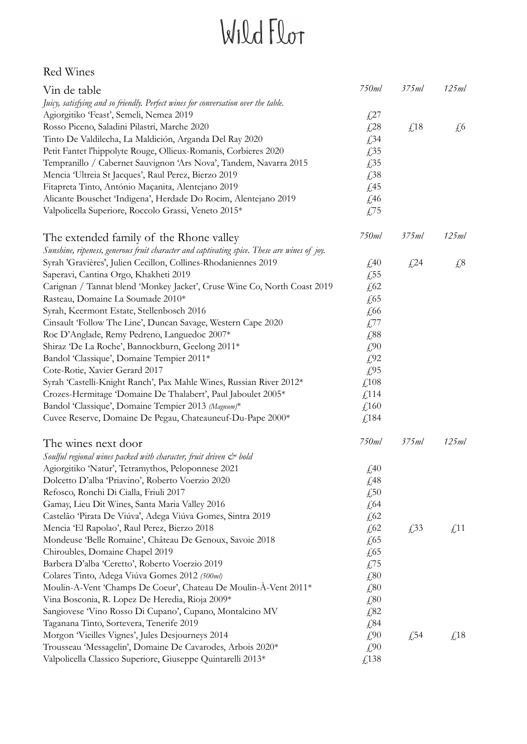#### Red Wines

| Vin de table                                                                                | 750ml                     | 375ml                           | 125ml                    |
|---------------------------------------------------------------------------------------------|---------------------------|---------------------------------|--------------------------|
| Juicy, satisfying and so friendly. Perfect wines for conversation over the table.           |                           |                                 |                          |
| Agiorgitiko 'Feast', Semeli, Nemea 2019                                                     | $\sqrt{27}$               |                                 |                          |
| Rosso Piceno, Saladini Pilastri, Marche 2020                                                | $\sqrt{28}$               | $\textcolor{red}{\downarrow}18$ | $\sqrt{6}$               |
| Tinto De Valdilecha, La Maldición, Arganda Del Ray 2020                                     | £34                       |                                 |                          |
| Petit Fantet l'hippolyte Rouge, Ollieux-Romanis, Corbieres 2020                             | £35                       |                                 |                          |
| Tempranillo / Cabernet Sauvignon 'Ars Nova', Tandem, Navarra 2015                           | £35                       |                                 |                          |
| Mencia 'Ultreia St Jacques', Raul Perez, Bierzo 2019                                        | £38                       |                                 |                          |
| Fitapreta Tinto, António Maçanita, Alentejano 2019                                          |                           |                                 |                          |
|                                                                                             | £45                       |                                 |                          |
| Alicante Bouschet 'Indigena', Herdade Do Rocim, Alentejano 2019                             | £46                       |                                 |                          |
| Valpolicella Superiore, Roccolo Grassi, Veneto 2015*                                        | £75                       |                                 |                          |
| The extended family of the Rhone valley                                                     | 750ml                     | 375ml                           | 125ml                    |
| Sunshine, ripeness, generous fruit character and captivating spice. These are wines of joy. |                           |                                 |                          |
| Syrah 'Gravières', Julien Cecillon, Collines-Rhodaniennes 2019                              | $\textcolor{blue}{f_240}$ | $\sqrt{24}$                     | $\sqrt{28}$              |
| Saperavi, Cantina Orgo, Khakheti 2019                                                       | $\sqrt{55}$               |                                 |                          |
| Carignan / Tannat blend 'Monkey Jacket', Cruse Wine Co, North Coast 2019                    | £62                       |                                 |                          |
| Rasteau, Domaine La Soumade 2010*                                                           | $\sqrt{65}$               |                                 |                          |
| Syrah, Keermont Estate, Stellenbosch 2016                                                   | £66                       |                                 |                          |
| Cinsault 'Follow The Line', Duncan Savage, Western Cape 2020                                | £77                       |                                 |                          |
|                                                                                             |                           |                                 |                          |
| Roc D'Anglade, Remy Pedreno, Languedoc 2007*                                                | £88                       |                                 |                          |
| Shiraz 'De La Roche', Bannockburn, Geelong 2011*                                            | £90                       |                                 |                          |
| Bandol 'Classique', Domaine Tempier 2011*                                                   | $f^{02}$                  |                                 |                          |
| Cote-Rotie, Xavier Gerard 2017                                                              | £95                       |                                 |                          |
| Syrah 'Castelli-Knight Ranch', Pax Mahle Wines, Russian River 2012*                         | £108                      |                                 |                          |
| Crozes-Hermitage 'Domaine De Thalabert', Paul Jaboulet 2005*                                | $\text{\textsterling}114$ |                                 |                          |
| Bandol 'Classique', Domaine Tempier 2013 (Magnum)*                                          | $\text{\textsterling}160$ |                                 |                          |
| Cuvee Reserve, Domaine De Pegau, Chateauneuf-Du-Pape 2000*                                  | £,184                     |                                 |                          |
| The wines next door                                                                         | 750ml                     | 375ml                           | 125ml                    |
| Soulful regional wines packed with character, fruit driven & bold                           |                           |                                 |                          |
| Agiorgitiko 'Natur', Tetramythos, Peloponnese 2021                                          | £40                       |                                 |                          |
| Dolcetto D'alba 'Priavino', Roberto Voerzio 2020                                            | £48                       |                                 |                          |
| Refosco, Ronchi Di Cialla, Friuli 2017                                                      | £50                       |                                 |                          |
| Gamay, Lieu Dit Wines, Santa Maria Valley 2016                                              | $\sqrt{64}$               |                                 |                          |
| Castelão Pirata De Viúva', Adega Viúva Gomes, Sintra 2019                                   | $\sqrt{62}$               |                                 |                          |
| Mencia 'El Rapolao', Raul Perez, Bierzo 2018                                                | $\sqrt{62}$               | £33                             | $\text{\textsterling}11$ |
| Mondeuse 'Belle Romaine', Château De Genoux, Savoie 2018                                    | $\sqrt{65}$               |                                 |                          |
| Chiroubles, Domaine Chapel 2019                                                             | £65                       |                                 |                          |
| Barbera D'alba 'Ceretto', Roberto Voerzio 2019                                              | £75                       |                                 |                          |
|                                                                                             |                           |                                 |                          |
| Colares Tinto, Adega Viúva Gomes 2012 (500ml)                                               | £80                       |                                 |                          |
| Moulin-A-Vent 'Champs De Coeur', Chateau De Moulin-À-Vent 2011*                             | £80                       |                                 |                          |
| Vina Bosconia, R. Lopez De Heredia, Rioja 2009*                                             | £80                       |                                 |                          |
| Sangiovese Vino Rosso Di Cupano', Cupano, Montalcino MV                                     | £82                       |                                 |                          |
| Taganana Tinto, Sortevera, Tenerife 2019                                                    | £84                       |                                 |                          |
| Morgon Vieilles Vignes', Jules Desjourneys 2014                                             | £90                       | $\sqrt{54}$                     | $\textsterling}18$       |
| Trousseau 'Messagelin', Domaine De Cavarodes, Arbois 2020*                                  | £90                       |                                 |                          |
| Valpolicella Classico Superiore, Giuseppe Quintarelli 2013*                                 | £138                      |                                 |                          |